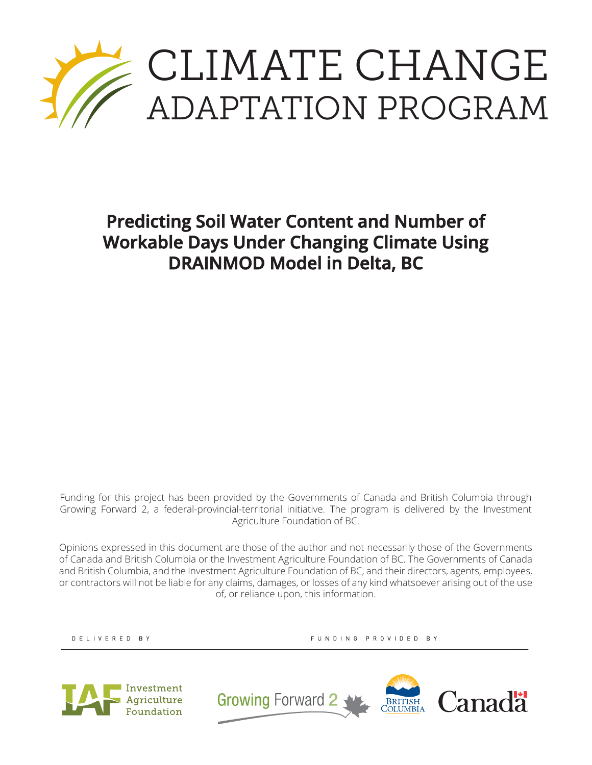

**Predicting Soil Water Content and Number of Workable Days Under Changing Climate Using DRAINMOD Model in Delta, BC**

Funding for this project has been provided by the Governments of Canada and British Columbia through Growing Forward 2, a federal-provincial-territorial initiative. The program is delivered by the Investment Agriculture Foundation of BC.

Opinions expressed in this document are those of the author and not necessarily those of the Governments of Canada and British Columbia or the Investment Agriculture Foundation of BC. The Governments of Canada and British Columbia, and the Investment Agriculture Foundation of BC, and their directors, agents, employees, or contractors will not be liable for any claims, damages, or losses of any kind whatsoever arising out of the use of, or reliance upon, this information.

DELIVERED BY

FUNDING PROVIDED BY



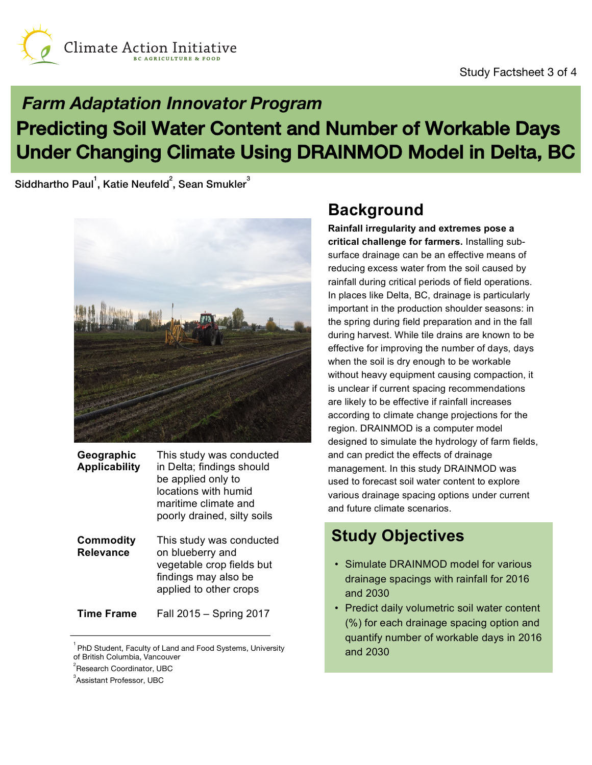

## **Farm Adaptation Innovator Program** Predicting Soil Water Content and Number of Workable Days Under Changing Climate Using DRAINMOD Model in Delta, BC

Siddhartho Paul $^{\rm l}$ , Katie Neufeld $^{\rm 2}$ , Sean Smukler $^{\rm 3}$ 



| Geographic<br><b>Applicability</b> | This study was conducted<br>in Delta; findings should<br>be applied only to<br>locations with humid<br>maritime climate and<br>poorly drained, silty soils |
|------------------------------------|------------------------------------------------------------------------------------------------------------------------------------------------------------|
| Commodity<br>Relevance             | This study was conducted<br>on blueberry and<br>vegetable crop fields but<br>findings may also be<br>applied to other crops                                |

**Time Frame** Fall 2015 – Spring 2017

## **Background**

**Rainfall irregularity and extremes pose a critical challenge for farmers.** Installing subsurface drainage can be an effective means of reducing excess water from the soil caused by rainfall during critical periods of field operations. In places like Delta, BC, drainage is particularly important in the production shoulder seasons: in the spring during field preparation and in the fall during harvest. While tile drains are known to be effective for improving the number of days, days when the soil is dry enough to be workable without heavy equipment causing compaction, it is unclear if current spacing recommendations are likely to be effective if rainfall increases according to climate change projections for the region. DRAINMOD is a computer model designed to simulate the hydrology of farm fields, and can predict the effects of drainage management. In this study DRAINMOD was used to forecast soil water content to explore various drainage spacing options under current and future climate scenarios.

## **Study Objectives**

- Simulate DRAINMOD model for various drainage spacings with rainfall for 2016 and 2030
- Predict daily volumetric soil water content (%) for each drainage spacing option and quantify number of workable days in 2016 and 2030

PhD Student, Faculty of Land and Food Systems, University of British Columbia, Vancouver

<sup>&</sup>lt;sup>2</sup> Research Coordinator, UBC

<sup>&</sup>lt;sup>3</sup> Assistant Professor, UBC